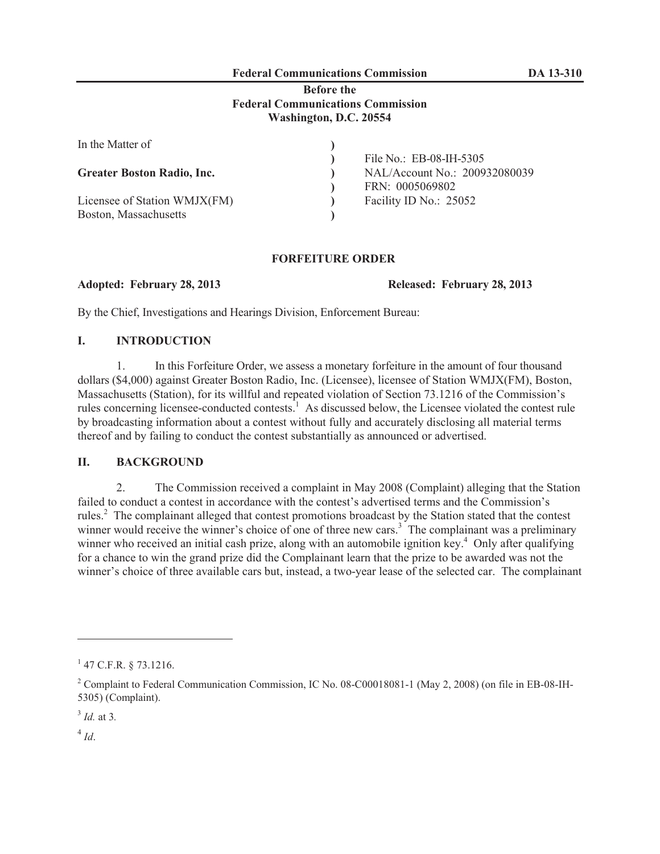# **Federal Communications Commission DA 13-310**

#### **Before the Federal Communications Commission Washington, D.C. 20554**

| In the Matter of                  |                               |
|-----------------------------------|-------------------------------|
|                                   | File No.: EB-08-IH-5305       |
| <b>Greater Boston Radio, Inc.</b> | NAL/Account No.: 200932080039 |
|                                   | FRN: 0005069802               |
| Licensee of Station WMJX(FM)      | Facility ID No.: 25052        |
| Boston, Massachusetts             |                               |

#### **FORFEITURE ORDER**

**Adopted: February 28, 2013 Released: February 28, 2013**

By the Chief, Investigations and Hearings Division, Enforcement Bureau:

## **I. INTRODUCTION**

1. In this Forfeiture Order, we assess a monetary forfeiture in the amount of four thousand dollars (\$4,000) against Greater Boston Radio, Inc. (Licensee), licensee of Station WMJX(FM), Boston, Massachusetts (Station), for its willful and repeated violation of Section 73.1216 of the Commission's rules concerning licensee-conducted contests.<sup>1</sup> As discussed below, the Licensee violated the contest rule by broadcasting information about a contest without fully and accurately disclosing all material terms thereof and by failing to conduct the contest substantially as announced or advertised.

## **II. BACKGROUND**

2. The Commission received a complaint in May 2008 (Complaint) alleging that the Station failed to conduct a contest in accordance with the contest's advertised terms and the Commission's rules.<sup>2</sup> The complainant alleged that contest promotions broadcast by the Station stated that the contest winner would receive the winner's choice of one of three new cars.<sup>3</sup> The complainant was a preliminary winner who received an initial cash prize, along with an automobile ignition key.<sup>4</sup> Only after qualifying for a chance to win the grand prize did the Complainant learn that the prize to be awarded was not the winner's choice of three available cars but, instead, a two-year lease of the selected car. The complainant

 $1$  47 C.F.R. § 73.1216.

<sup>&</sup>lt;sup>2</sup> Complaint to Federal Communication Commission, IC No. 08-C00018081-1 (May 2, 2008) (on file in EB-08-IH-5305) (Complaint).

<sup>3</sup> *Id.* at 3*.*

 $^{4}$ *Id*.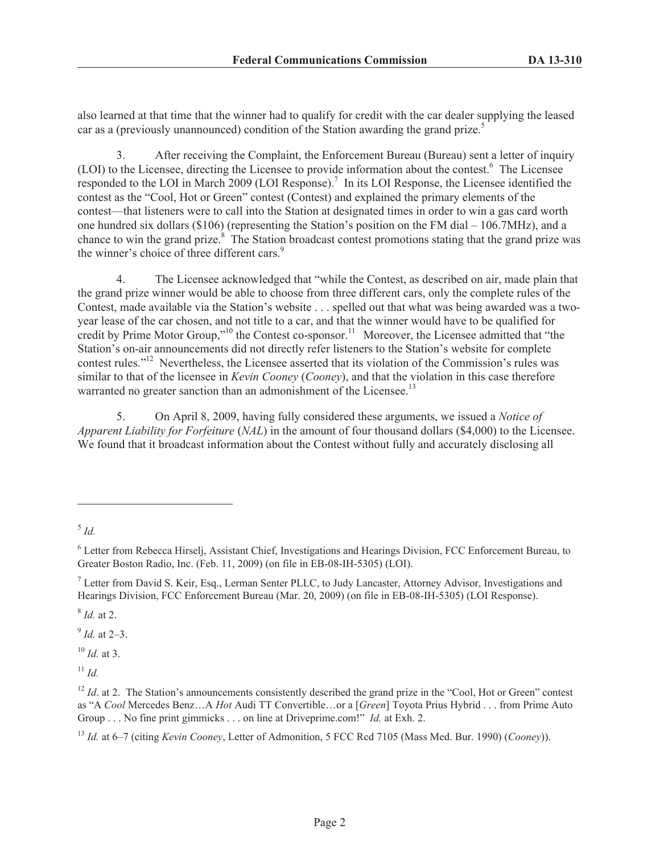also learned at that time that the winner had to qualify for credit with the car dealer supplying the leased car as a (previously unannounced) condition of the Station awarding the grand prize.<sup>5</sup>

3. After receiving the Complaint, the Enforcement Bureau (Bureau) sent a letter of inquiry (LOI) to the Licensee, directing the Licensee to provide information about the contest.<sup>6</sup> The Licensee responded to the LOI in March 2009 (LOI Response).<sup>7</sup> In its LOI Response, the Licensee identified the contest as the "Cool, Hot or Green" contest (Contest) and explained the primary elements of the contest—that listeners were to call into the Station at designated times in order to win a gas card worth one hundred six dollars (\$106) (representing the Station's position on the FM dial – 106.7MHz), and a chance to win the grand prize.<sup>8</sup> The Station broadcast contest promotions stating that the grand prize was the winner's choice of three different cars.<sup>9</sup>

4. The Licensee acknowledged that "while the Contest, as described on air, made plain that the grand prize winner would be able to choose from three different cars, only the complete rules of the Contest, made available via the Station's website . . . spelled out that what was being awarded was a twoyear lease of the car chosen, and not title to a car, and that the winner would have to be qualified for credit by Prime Motor Group,"<sup>10</sup> the Contest co-sponsor.<sup>11</sup> Moreover, the Licensee admitted that "the Station's on-air announcements did not directly refer listeners to the Station's website for complete contest rules."<sup>12</sup> Nevertheless, the Licensee asserted that its violation of the Commission's rules was similar to that of the licensee in *Kevin Cooney* (*Cooney*), and that the violation in this case therefore warranted no greater sanction than an admonishment of the Licensee.<sup>13</sup>

5. On April 8, 2009, having fully considered these arguments, we issued a *Notice of Apparent Liability for Forfeiture* (*NAL*) in the amount of four thousand dollars (\$4,000) to the Licensee. We found that it broadcast information about the Contest without fully and accurately disclosing all

8 *Id.* at 2.

9 *Id.* at 2–3.

<sup>10</sup> *Id.* at 3.

 $11$  *Id.* 

<sup>5</sup> *Id.* 

<sup>6</sup> Letter from Rebecca Hirselj, Assistant Chief, Investigations and Hearings Division, FCC Enforcement Bureau, to Greater Boston Radio, Inc. (Feb. 11, 2009) (on file in EB-08-IH-5305) (LOI).

<sup>7</sup> Letter from David S. Keir, Esq., Lerman Senter PLLC, to Judy Lancaster, Attorney Advisor, Investigations and Hearings Division, FCC Enforcement Bureau (Mar. 20, 2009) (on file in EB-08-IH-5305) (LOI Response).

<sup>&</sup>lt;sup>12</sup> *Id.* at 2. The Station's announcements consistently described the grand prize in the "Cool, Hot or Green" contest as "A *Cool* Mercedes Benz…A *Hot* Audi TT Convertible…or a [*Green*] Toyota Prius Hybrid . . . from Prime Auto Group . . . No fine print gimmicks . . . on line at Driveprime.com!" *Id.* at Exh. 2.

<sup>13</sup> *Id.* at 6–7 (citing *Kevin Cooney*, Letter of Admonition, 5 FCC Rcd 7105 (Mass Med. Bur. 1990) (*Cooney*)).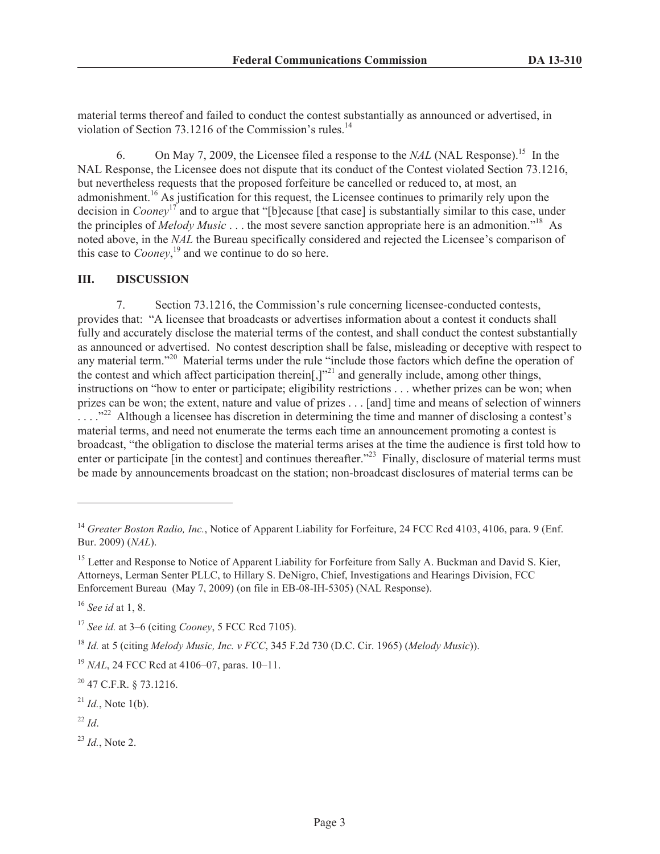material terms thereof and failed to conduct the contest substantially as announced or advertised, in violation of Section 73.1216 of the Commission's rules.<sup>14</sup>

6. On May 7, 2009, the Licensee filed a response to the *NAL* (NAL Response).<sup>15</sup> In the NAL Response, the Licensee does not dispute that its conduct of the Contest violated Section 73.1216, but nevertheless requests that the proposed forfeiture be cancelled or reduced to, at most, an admonishment.<sup>16</sup> As justification for this request, the Licensee continues to primarily rely upon the decision in *Cooney*<sup>17</sup> and to argue that "[b]ecause [that case] is substantially similar to this case, under the principles of *Melody Music* . . . the most severe sanction appropriate here is an admonition."<sup>18</sup> As noted above, in the *NAL* the Bureau specifically considered and rejected the Licensee's comparison of this case to *Cooney*, <sup>19</sup> and we continue to do so here.

#### **III. DISCUSSION**

7. Section 73.1216, the Commission's rule concerning licensee-conducted contests, provides that: "A licensee that broadcasts or advertises information about a contest it conducts shall fully and accurately disclose the material terms of the contest, and shall conduct the contest substantially as announced or advertised. No contest description shall be false, misleading or deceptive with respect to any material term."<sup>20</sup> Material terms under the rule "include those factors which define the operation of the contest and which affect participation therein[,] $v^{21}$  and generally include, among other things, instructions on "how to enter or participate; eligibility restrictions . . . whether prizes can be won; when prizes can be won; the extent, nature and value of prizes . . . [and] time and means of selection of winners <sup>22</sup> Although a licensee has discretion in determining the time and manner of disclosing a contest's material terms, and need not enumerate the terms each time an announcement promoting a contest is broadcast, "the obligation to disclose the material terms arises at the time the audience is first told how to enter or participate [in the contest] and continues thereafter.<sup>223</sup> Finally, disclosure of material terms must be made by announcements broadcast on the station; non-broadcast disclosures of material terms can be

<sup>16</sup> *See id* at 1, 8.

 $^{22}$  *Id*.

<sup>23</sup> *Id.*, Note 2.

<sup>&</sup>lt;sup>14</sup> *Greater Boston Radio, Inc.*, Notice of Apparent Liability for Forfeiture, 24 FCC Rcd 4103, 4106, para. 9 (Enf. Bur. 2009) (*NAL*).

<sup>&</sup>lt;sup>15</sup> Letter and Response to Notice of Apparent Liability for Forfeiture from Sally A. Buckman and David S. Kier, Attorneys, Lerman Senter PLLC, to Hillary S. DeNigro, Chief, Investigations and Hearings Division, FCC Enforcement Bureau (May 7, 2009) (on file in EB-08-IH-5305) (NAL Response).

<sup>17</sup> *See id.* at 3–6 (citing *Cooney*, 5 FCC Rcd 7105).

<sup>18</sup> *Id.* at 5 (citing *Melody Music, Inc. v FCC*, 345 F.2d 730 (D.C. Cir. 1965) (*Melody Music*)).

<sup>19</sup> *NAL*, 24 FCC Rcd at 4106–07, paras. 10–11.

 $20$  47 C.F.R. § 73.1216.

 $^{21}$  *Id.*, Note 1(b).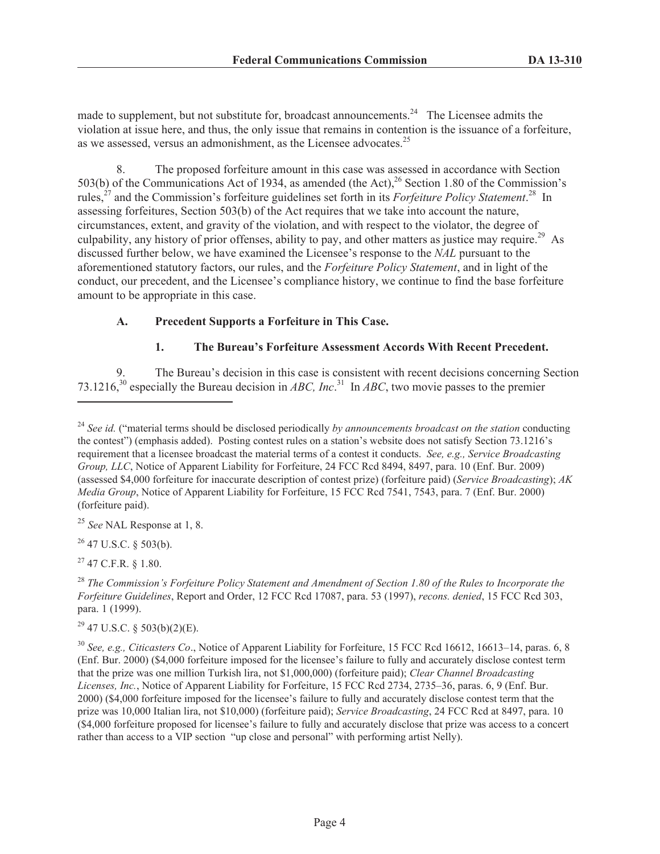made to supplement, but not substitute for, broadcast announcements.<sup>24</sup> The Licensee admits the violation at issue here, and thus, the only issue that remains in contention is the issuance of a forfeiture, as we assessed, versus an admonishment, as the Licensee advocates.<sup>25</sup>

8. The proposed forfeiture amount in this case was assessed in accordance with Section 503(b) of the Communications Act of 1934, as amended (the Act), $^{26}$  Section 1.80 of the Commission's rules,<sup>27</sup> and the Commission's forfeiture guidelines set forth in its *Forfeiture Policy Statement*.<sup>28</sup> In assessing forfeitures, Section 503(b) of the Act requires that we take into account the nature, circumstances, extent, and gravity of the violation, and with respect to the violator, the degree of culpability, any history of prior offenses, ability to pay, and other matters as justice may require.<sup>29</sup> As discussed further below, we have examined the Licensee's response to the *NAL* pursuant to the aforementioned statutory factors, our rules, and the *Forfeiture Policy Statement*, and in light of the conduct, our precedent, and the Licensee's compliance history, we continue to find the base forfeiture amount to be appropriate in this case.

## **A. Precedent Supports a Forfeiture in This Case.**

## **1. The Bureau's Forfeiture Assessment Accords With Recent Precedent.**

The Bureau's decision in this case is consistent with recent decisions concerning Section 73.1216,<sup>30</sup> especially the Bureau decision in *ABC, Inc*.<sup>31</sup> In *ABC*, two movie passes to the premier

 $26$  47 U.S.C. § 503(b).

 $^{27}$  47 C.F.R. § 1.80.

 $29$  47 U.S.C. § 503(b)(2)(E).

<sup>30</sup> *See, e.g., Citicasters Co*., Notice of Apparent Liability for Forfeiture, 15 FCC Rcd 16612, 16613–14, paras. 6, 8 (Enf. Bur. 2000) (\$4,000 forfeiture imposed for the licensee's failure to fully and accurately disclose contest term that the prize was one million Turkish lira, not \$1,000,000) (forfeiture paid); *Clear Channel Broadcasting Licenses, Inc.*, Notice of Apparent Liability for Forfeiture, 15 FCC Rcd 2734, 2735–36, paras. 6, 9 (Enf. Bur. 2000) (\$4,000 forfeiture imposed for the licensee's failure to fully and accurately disclose contest term that the prize was 10,000 Italian lira, not \$10,000) (forfeiture paid); *Service Broadcasting*, 24 FCC Rcd at 8497, para. 10 (\$4,000 forfeiture proposed for licensee's failure to fully and accurately disclose that prize was access to a concert rather than access to a VIP section "up close and personal" with performing artist Nelly).

<sup>24</sup> *See id.* ("material terms should be disclosed periodically *by announcements broadcast on the station* conducting the contest") (emphasis added). Posting contest rules on a station's website does not satisfy Section 73.1216's requirement that a licensee broadcast the material terms of a contest it conducts. *See, e.g., Service Broadcasting Group, LLC*, Notice of Apparent Liability for Forfeiture, 24 FCC Rcd 8494, 8497, para. 10 (Enf. Bur. 2009) (assessed \$4,000 forfeiture for inaccurate description of contest prize) (forfeiture paid) (*Service Broadcasting*); *AK Media Group*, Notice of Apparent Liability for Forfeiture, 15 FCC Rcd 7541, 7543, para. 7 (Enf. Bur. 2000) (forfeiture paid).

<sup>25</sup> *See* NAL Response at 1, 8.

<sup>28</sup> *The Commission's Forfeiture Policy Statement and Amendment of Section 1.80 of the Rules to Incorporate the Forfeiture Guidelines*, Report and Order, 12 FCC Rcd 17087, para. 53 (1997), *recons. denied*, 15 FCC Rcd 303, para. 1 (1999).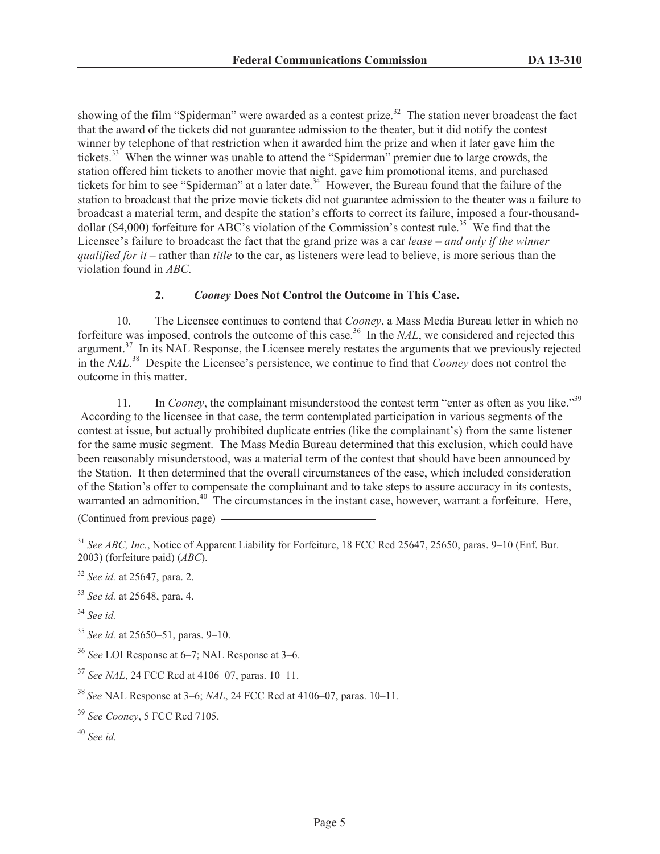showing of the film "Spiderman" were awarded as a contest prize.<sup>32</sup> The station never broadcast the fact that the award of the tickets did not guarantee admission to the theater, but it did notify the contest winner by telephone of that restriction when it awarded him the prize and when it later gave him the tickets.<sup>33</sup> When the winner was unable to attend the "Spiderman" premier due to large crowds, the station offered him tickets to another movie that night, gave him promotional items, and purchased tickets for him to see "Spiderman" at a later date.<sup>34</sup> However, the Bureau found that the failure of the station to broadcast that the prize movie tickets did not guarantee admission to the theater was a failure to broadcast a material term, and despite the station's efforts to correct its failure, imposed a four-thousanddollar (\$4,000) forfeiture for ABC's violation of the Commission's contest rule.<sup>35</sup> We find that the Licensee's failure to broadcast the fact that the grand prize was a car *lease* – *and only if the winner qualified for it* – rather than *title* to the car, as listeners were lead to believe, is more serious than the violation found in *ABC*.

## **2.** *Cooney* **Does Not Control the Outcome in This Case.**

10. The Licensee continues to contend that *Cooney*, a Mass Media Bureau letter in which no forfeiture was imposed, controls the outcome of this case.<sup>36</sup> In the *NAL*, we considered and rejected this argument.<sup>37</sup> In its NAL Response, the Licensee merely restates the arguments that we previously rejected in the *NAL*. <sup>38</sup> Despite the Licensee's persistence, we continue to find that *Cooney* does not control the outcome in this matter.

11. In *Cooney*, the complainant misunderstood the contest term "enter as often as you like."<sup>39</sup> According to the licensee in that case, the term contemplated participation in various segments of the contest at issue, but actually prohibited duplicate entries (like the complainant's) from the same listener for the same music segment. The Mass Media Bureau determined that this exclusion, which could have been reasonably misunderstood, was a material term of the contest that should have been announced by the Station. It then determined that the overall circumstances of the case, which included consideration of the Station's offer to compensate the complainant and to take steps to assure accuracy in its contests, warranted an admonition.<sup>40</sup> The circumstances in the instant case, however, warrant a forfeiture. Here, (Continued from previous page)

<sup>31</sup> *See ABC, Inc.*, Notice of Apparent Liability for Forfeiture, 18 FCC Rcd 25647, 25650, paras. 9–10 (Enf. Bur. 2003) (forfeiture paid) (*ABC*).

- <sup>32</sup> *See id.* at 25647, para. 2.
- <sup>33</sup> *See id.* at 25648, para. 4.
- <sup>34</sup> *See id.*
- <sup>35</sup> *See id.* at 25650–51, paras. 9–10.
- <sup>36</sup> *See* LOI Response at 6–7; NAL Response at 3–6.
- <sup>37</sup> *See NAL*, 24 FCC Rcd at 4106–07, paras. 10–11.

<sup>38</sup> *See* NAL Response at 3–6; *NAL*, 24 FCC Rcd at 4106–07, paras. 10–11.

- <sup>39</sup> *See Cooney*, 5 FCC Rcd 7105.
- <sup>40</sup> *See id.*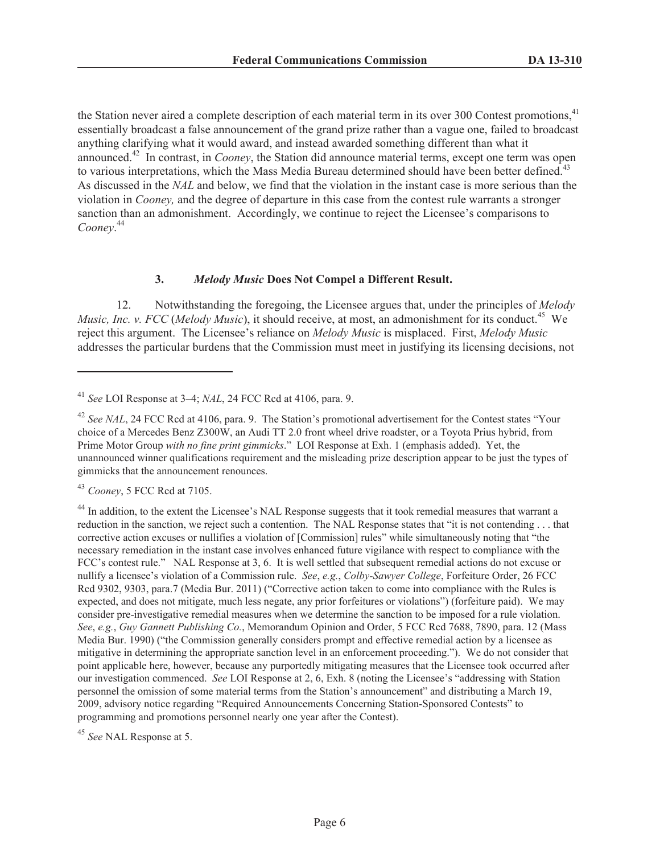the Station never aired a complete description of each material term in its over 300 Contest promotions,<sup>41</sup> essentially broadcast a false announcement of the grand prize rather than a vague one, failed to broadcast anything clarifying what it would award, and instead awarded something different than what it announced.<sup>42</sup> In contrast, in *Cooney*, the Station did announce material terms, except one term was open to various interpretations, which the Mass Media Bureau determined should have been better defined.<sup>43</sup> As discussed in the *NAL* and below, we find that the violation in the instant case is more serious than the violation in *Cooney,* and the degree of departure in this case from the contest rule warrants a stronger sanction than an admonishment. Accordingly, we continue to reject the Licensee's comparisons to *Cooney*. 44

#### **3.** *Melody Music* **Does Not Compel a Different Result.**

12. Notwithstanding the foregoing, the Licensee argues that, under the principles of *Melody Music, Inc. v. FCC* (*Melody Music*), it should receive, at most, an admonishment for its conduct.<sup>45</sup> We reject this argument. The Licensee's reliance on *Melody Music* is misplaced. First, *Melody Music*  addresses the particular burdens that the Commission must meet in justifying its licensing decisions, not

<sup>43</sup> *Cooney*, 5 FCC Rcd at 7105.

<sup>41</sup> *See* LOI Response at 3–4; *NAL*, 24 FCC Rcd at 4106, para. 9.

<sup>&</sup>lt;sup>42</sup> See NAL, 24 FCC Rcd at 4106, para. 9. The Station's promotional advertisement for the Contest states "Your choice of a Mercedes Benz Z300W, an Audi TT 2.0 front wheel drive roadster, or a Toyota Prius hybrid, from Prime Motor Group *with no fine print gimmicks*." LOI Response at Exh. 1 (emphasis added). Yet, the unannounced winner qualifications requirement and the misleading prize description appear to be just the types of gimmicks that the announcement renounces.

<sup>&</sup>lt;sup>44</sup> In addition, to the extent the Licensee's NAL Response suggests that it took remedial measures that warrant a reduction in the sanction, we reject such a contention. The NAL Response states that "it is not contending . . . that corrective action excuses or nullifies a violation of [Commission] rules" while simultaneously noting that "the necessary remediation in the instant case involves enhanced future vigilance with respect to compliance with the FCC's contest rule." NAL Response at 3, 6. It is well settled that subsequent remedial actions do not excuse or nullify a licensee's violation of a Commission rule. *See*, *e.g.*, *Colby-Sawyer College*, Forfeiture Order, 26 FCC Rcd 9302, 9303, para.7 (Media Bur. 2011) ("Corrective action taken to come into compliance with the Rules is expected, and does not mitigate, much less negate, any prior forfeitures or violations") (forfeiture paid). We may consider pre-investigative remedial measures when we determine the sanction to be imposed for a rule violation. *See*, *e.g.*, *Guy Gannett Publishing Co.*, Memorandum Opinion and Order, 5 FCC Rcd 7688, 7890, para. 12 (Mass Media Bur. 1990) ("the Commission generally considers prompt and effective remedial action by a licensee as mitigative in determining the appropriate sanction level in an enforcement proceeding."). We do not consider that point applicable here, however, because any purportedly mitigating measures that the Licensee took occurred after our investigation commenced. *See* LOI Response at 2, 6, Exh. 8 (noting the Licensee's "addressing with Station personnel the omission of some material terms from the Station's announcement" and distributing a March 19, 2009, advisory notice regarding "Required Announcements Concerning Station-Sponsored Contests" to programming and promotions personnel nearly one year after the Contest).

<sup>45</sup> *See* NAL Response at 5.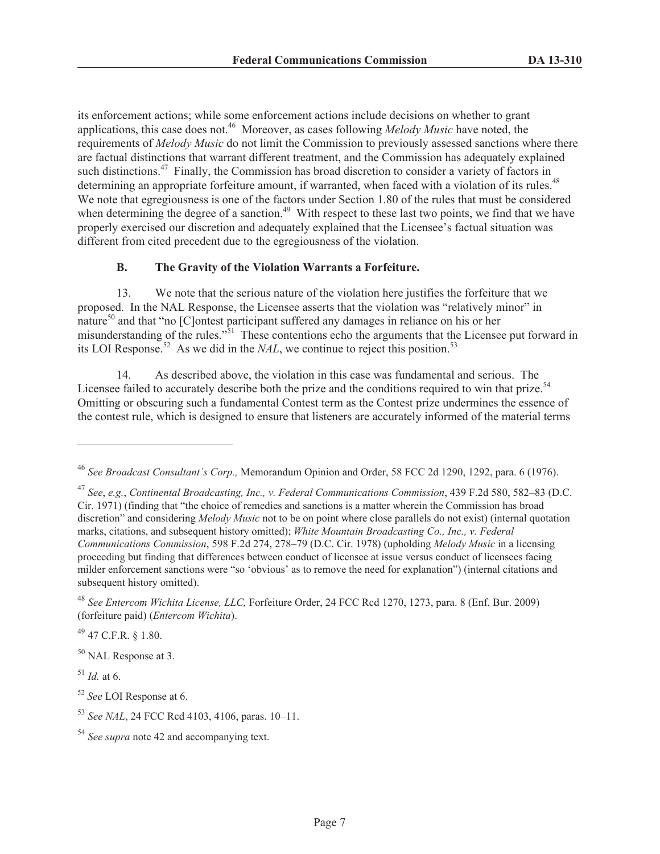its enforcement actions; while some enforcement actions include decisions on whether to grant applications, this case does not.<sup>46</sup> Moreover, as cases following *Melody Music* have noted, the requirements of *Melody Music* do not limit the Commission to previously assessed sanctions where there are factual distinctions that warrant different treatment, and the Commission has adequately explained such distinctions.<sup>47</sup> Finally, the Commission has broad discretion to consider a variety of factors in determining an appropriate forfeiture amount, if warranted, when faced with a violation of its rules.<sup>48</sup> We note that egregiousness is one of the factors under Section 1.80 of the rules that must be considered when determining the degree of a sanction.<sup>49</sup> With respect to these last two points, we find that we have properly exercised our discretion and adequately explained that the Licensee's factual situation was different from cited precedent due to the egregiousness of the violation.

## **B. The Gravity of the Violation Warrants a Forfeiture.**

13. We note that the serious nature of the violation here justifies the forfeiture that we proposed. In the NAL Response, the Licensee asserts that the violation was "relatively minor" in nature<sup>50</sup> and that "no [C]ontest participant suffered any damages in reliance on his or her misunderstanding of the rules."<sup>51</sup> These contentions echo the arguments that the Licensee put forward in its LOI Response.<sup>52</sup> As we did in the *NAL*, we continue to reject this position.<sup>53</sup>

14. As described above, the violation in this case was fundamental and serious. The Licensee failed to accurately describe both the prize and the conditions required to win that prize.<sup>54</sup> Omitting or obscuring such a fundamental Contest term as the Contest prize undermines the essence of the contest rule, which is designed to ensure that listeners are accurately informed of the material terms

 $^{49}$  47 C.F.R. § 1.80.

<sup>50</sup> NAL Response at 3.

 $^{51}$  *Id.* at 6.

<sup>52</sup> *See* LOI Response at 6.

<sup>46</sup> *See Broadcast Consultant's Corp.,* Memorandum Opinion and Order, 58 FCC 2d 1290, 1292, para. 6 (1976).

<sup>47</sup> *See*, *e.g.*, *Continental Broadcasting, Inc., v. Federal Communications Commission*, 439 F.2d 580, 582–83 (D.C. Cir. 1971) (finding that "the choice of remedies and sanctions is a matter wherein the Commission has broad discretion" and considering *Melody Music* not to be on point where close parallels do not exist) (internal quotation marks, citations, and subsequent history omitted); *White Mountain Broadcasting Co., Inc., v. Federal Communications Commission*, 598 F.2d 274, 278–79 (D.C. Cir. 1978) (upholding *Melody Music* in a licensing proceeding but finding that differences between conduct of licensee at issue versus conduct of licensees facing milder enforcement sanctions were "so 'obvious' as to remove the need for explanation") (internal citations and subsequent history omitted).

<sup>48</sup> *See Entercom Wichita License, LLC,* Forfeiture Order, 24 FCC Rcd 1270, 1273, para. 8 (Enf. Bur. 2009) (forfeiture paid) (*Entercom Wichita*).

<sup>53</sup> *See NAL*, 24 FCC Rcd 4103, 4106, paras. 10–11.

<sup>54</sup> *See supra* note 42 and accompanying text.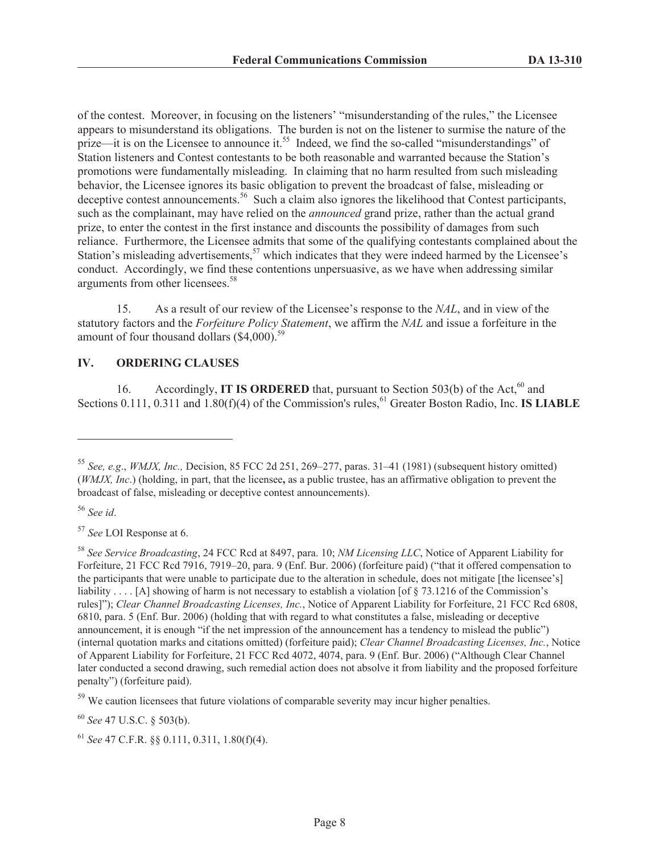of the contest. Moreover, in focusing on the listeners' "misunderstanding of the rules," the Licensee appears to misunderstand its obligations. The burden is not on the listener to surmise the nature of the prize—it is on the Licensee to announce it.<sup>55</sup> Indeed, we find the so-called "misunderstandings" of Station listeners and Contest contestants to be both reasonable and warranted because the Station's promotions were fundamentally misleading. In claiming that no harm resulted from such misleading behavior, the Licensee ignores its basic obligation to prevent the broadcast of false, misleading or deceptive contest announcements.<sup>56</sup> Such a claim also ignores the likelihood that Contest participants, such as the complainant, may have relied on the *announced* grand prize, rather than the actual grand prize, to enter the contest in the first instance and discounts the possibility of damages from such reliance. Furthermore, the Licensee admits that some of the qualifying contestants complained about the Station's misleading advertisements,  $57$  which indicates that they were indeed harmed by the Licensee's conduct. Accordingly, we find these contentions unpersuasive, as we have when addressing similar arguments from other licensees.<sup>58</sup>

15. As a result of our review of the Licensee's response to the *NAL*, and in view of the statutory factors and the *Forfeiture Policy Statement*, we affirm the *NAL* and issue a forfeiture in the amount of four thousand dollars  $(\$4,000).^{59}$ 

## **IV. ORDERING CLAUSES**

16. Accordingly, **IT IS ORDERED** that, pursuant to Section 503(b) of the Act,<sup>60</sup> and Sections 0.111, 0.311 and 1.80(f)(4) of the Commission's rules,<sup>61</sup> Greater Boston Radio, Inc. **IS LIABLE** 

<sup>56</sup> *See id*.

<sup>57</sup> *See* LOI Response at 6.

<sup>60</sup> *See* 47 U.S.C. § 503(b).

<sup>61</sup> *See* 47 C.F.R. §§ 0.111, 0.311, 1.80(f)(4).

<sup>55</sup> *See, e.g*., *WMJX, Inc.,* Decision, 85 FCC 2d 251, 269–277, paras. 31–41 (1981) (subsequent history omitted) (*WMJX, Inc*.) (holding, in part, that the licensee**,** as a public trustee, has an affirmative obligation to prevent the broadcast of false, misleading or deceptive contest announcements).

<sup>58</sup> *See Service Broadcasting*, 24 FCC Rcd at 8497, para. 10; *NM Licensing LLC*, Notice of Apparent Liability for Forfeiture, 21 FCC Rcd 7916, 7919–20, para. 9 (Enf. Bur. 2006) (forfeiture paid) ("that it offered compensation to the participants that were unable to participate due to the alteration in schedule, does not mitigate [the licensee's] liability . . . . [A] showing of harm is not necessary to establish a violation [of § 73.1216 of the Commission's rules]"); *Clear Channel Broadcasting Licenses, Inc.*, Notice of Apparent Liability for Forfeiture, 21 FCC Rcd 6808, 6810, para. 5 (Enf. Bur. 2006) (holding that with regard to what constitutes a false, misleading or deceptive announcement, it is enough "if the net impression of the announcement has a tendency to mislead the public") (internal quotation marks and citations omitted) (forfeiture paid); *Clear Channel Broadcasting Licenses, Inc.*, Notice of Apparent Liability for Forfeiture, 21 FCC Rcd 4072, 4074, para. 9 (Enf. Bur. 2006) ("Although Clear Channel later conducted a second drawing, such remedial action does not absolve it from liability and the proposed forfeiture penalty") (forfeiture paid).

<sup>&</sup>lt;sup>59</sup> We caution licensees that future violations of comparable severity may incur higher penalties.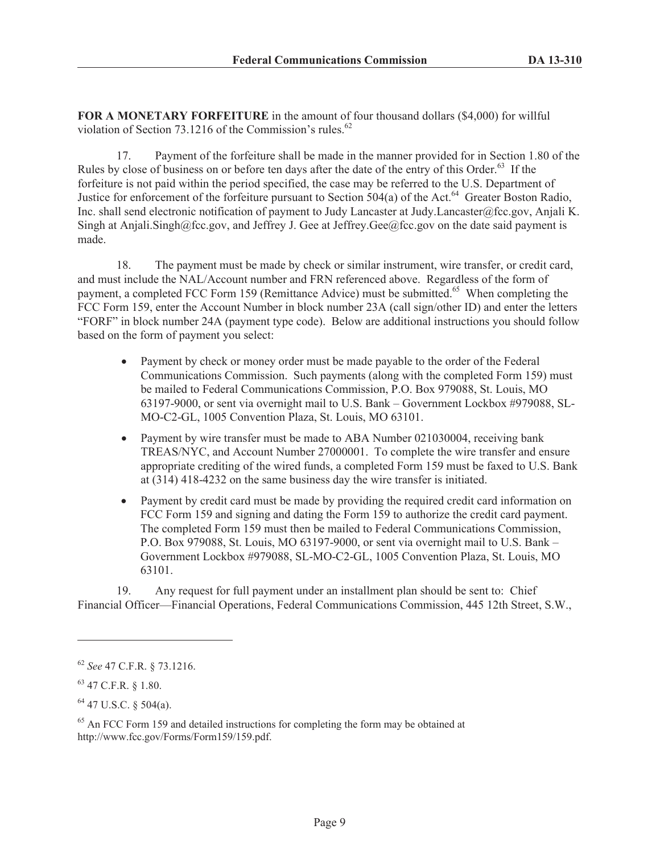**FOR A MONETARY FORFEITURE** in the amount of four thousand dollars (\$4,000) for willful violation of Section 73.1216 of the Commission's rules. $62$ 

17. Payment of the forfeiture shall be made in the manner provided for in Section 1.80 of the Rules by close of business on or before ten days after the date of the entry of this Order.<sup>63</sup> If the forfeiture is not paid within the period specified, the case may be referred to the U.S. Department of Justice for enforcement of the forfeiture pursuant to Section 504(a) of the Act.<sup>64</sup> Greater Boston Radio, Inc. shall send electronic notification of payment to Judy Lancaster at Judy.Lancaster@fcc.gov, Anjali K. Singh at Anjali.Singh@fcc.gov, and Jeffrey J. Gee at Jeffrey.Gee@fcc.gov on the date said payment is made.

18. The payment must be made by check or similar instrument, wire transfer, or credit card, and must include the NAL/Account number and FRN referenced above. Regardless of the form of payment, a completed FCC Form 159 (Remittance Advice) must be submitted.<sup>65</sup> When completing the FCC Form 159, enter the Account Number in block number 23A (call sign/other ID) and enter the letters "FORF" in block number 24A (payment type code). Below are additional instructions you should follow based on the form of payment you select:

- Payment by check or money order must be made payable to the order of the Federal Communications Commission. Such payments (along with the completed Form 159) must be mailed to Federal Communications Commission, P.O. Box 979088, St. Louis, MO 63197-9000, or sent via overnight mail to U.S. Bank – Government Lockbox #979088, SL-MO-C2-GL, 1005 Convention Plaza, St. Louis, MO 63101.
- · Payment by wire transfer must be made to ABA Number 021030004, receiving bank TREAS/NYC, and Account Number 27000001. To complete the wire transfer and ensure appropriate crediting of the wired funds, a completed Form 159 must be faxed to U.S. Bank at (314) 418-4232 on the same business day the wire transfer is initiated.
- · Payment by credit card must be made by providing the required credit card information on FCC Form 159 and signing and dating the Form 159 to authorize the credit card payment. The completed Form 159 must then be mailed to Federal Communications Commission, P.O. Box 979088, St. Louis, MO 63197-9000, or sent via overnight mail to U.S. Bank – Government Lockbox #979088, SL-MO-C2-GL, 1005 Convention Plaza, St. Louis, MO 63101.

19. Any request for full payment under an installment plan should be sent to: Chief Financial Officer—Financial Operations, Federal Communications Commission, 445 12th Street, S.W.,

<sup>62</sup> *See* 47 C.F.R. § 73.1216.

<sup>63</sup> 47 C.F.R. § 1.80.

 $64$  47 U.S.C. § 504(a).

<sup>&</sup>lt;sup>65</sup> An FCC Form 159 and detailed instructions for completing the form may be obtained at http://www.fcc.gov/Forms/Form159/159.pdf.